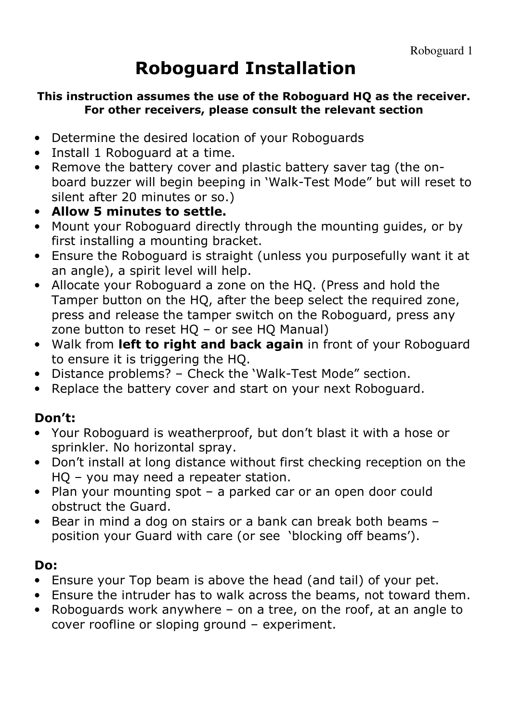### Roboguard Installation

#### This instruction assumes the use of the Roboguard HQ as the receiver. For other receivers, please consult the relevant section

- Determine the desired location of your Roboguards
- Install 1 Roboguard at a time.
- Remove the battery cover and plastic battery saver tag (the onboard buzzer will begin beeping in 'Walk-Test Mode" but will reset to silent after 20 minutes or so.)
- Allow 5 minutes to settle.
- Mount your Roboguard directly through the mounting guides, or by first installing a mounting bracket.
- Ensure the Roboguard is straight (unless you purposefully want it at an angle), a spirit level will help.
- Allocate your Roboguard a zone on the HQ. (Press and hold the Tamper button on the HQ, after the beep select the required zone, press and release the tamper switch on the Roboguard, press any zone button to reset HQ – or see HQ Manual)
- Walk from left to right and back again in front of your Roboguard to ensure it is triggering the HQ.
- Distance problems? Check the 'Walk-Test Mode" section.
- Replace the battery cover and start on your next Roboguard.

### Don't:

- Your Roboguard is weatherproof, but don't blast it with a hose or sprinkler. No horizontal spray.
- Don't install at long distance without first checking reception on the HQ – you may need a repeater station.
- Plan your mounting spot a parked car or an open door could obstruct the Guard.
- Bear in mind a dog on stairs or a bank can break both beams position your Guard with care (or see 'blocking off beams').

#### Do:

- Ensure your Top beam is above the head (and tail) of your pet.
- Ensure the intruder has to walk across the beams, not toward them.
- Roboguards work anywhere on a tree, on the roof, at an angle to cover roofline or sloping ground – experiment.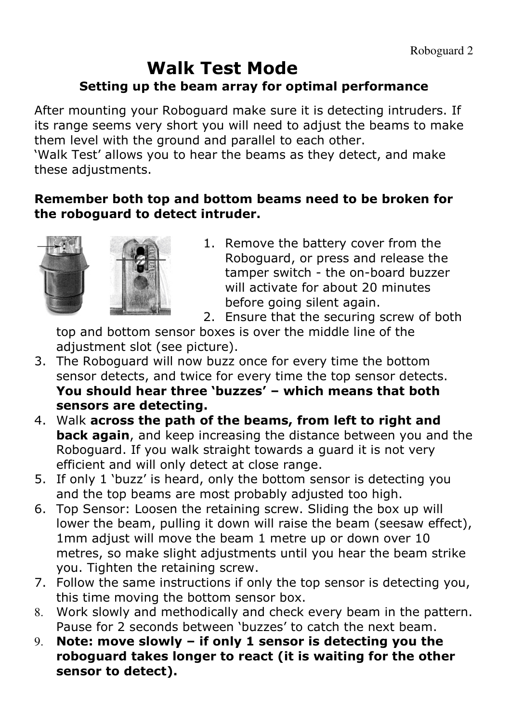### Walk Test Mode Setting up the beam array for optimal performance

After mounting your Roboguard make sure it is detecting intruders. If its range seems very short you will need to adjust the beams to make them level with the ground and parallel to each other.

'Walk Test' allows you to hear the beams as they detect, and make these adjustments.

#### Remember both top and bottom beams need to be broken for the roboguard to detect intruder.



1. Remove the battery cover from the Roboguard, or press and release the tamper switch - the on-board buzzer will activate for about 20 minutes before going silent again.

2. Ensure that the securing screw of both

top and bottom sensor boxes is over the middle line of the adjustment slot (see picture).

- 3. The Roboguard will now buzz once for every time the bottom sensor detects, and twice for every time the top sensor detects. You should hear three 'buzzes' – which means that both sensors are detecting.
- 4. Walk across the path of the beams, from left to right and **back again**, and keep increasing the distance between you and the Roboguard. If you walk straight towards a guard it is not very efficient and will only detect at close range.
- 5. If only 1 'buzz' is heard, only the bottom sensor is detecting you and the top beams are most probably adjusted too high.
- 6. Top Sensor: Loosen the retaining screw. Sliding the box up will lower the beam, pulling it down will raise the beam (seesaw effect), 1mm adjust will move the beam 1 metre up or down over 10 metres, so make slight adjustments until you hear the beam strike you. Tighten the retaining screw.
- 7. Follow the same instructions if only the top sensor is detecting you, this time moving the bottom sensor box.
- 8. Work slowly and methodically and check every beam in the pattern. Pause for 2 seconds between 'buzzes' to catch the next beam.
- 9. Note: move slowly if only 1 sensor is detecting you the roboguard takes longer to react (it is waiting for the other sensor to detect).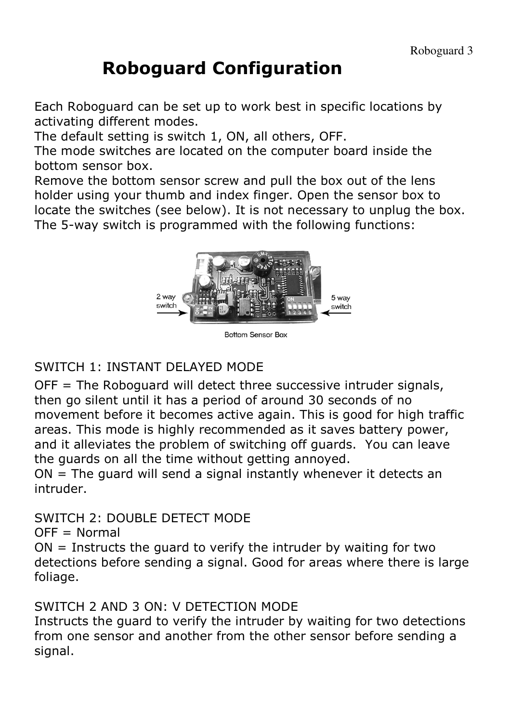### Roboguard Configuration

Each Roboguard can be set up to work best in specific locations by activating different modes.

The default setting is switch 1, ON, all others, OFF.

The mode switches are located on the computer board inside the bottom sensor box.

Remove the bottom sensor screw and pull the box out of the lens holder using your thumb and index finger. Open the sensor box to locate the switches (see below). It is not necessary to unplug the box. The 5-way switch is programmed with the following functions:



**Bottom Sensor Box** 

#### SWITCH 1: INSTANT DELAYED MODE

OFF = The Roboguard will detect three successive intruder signals, then go silent until it has a period of around 30 seconds of no movement before it becomes active again. This is good for high traffic areas. This mode is highly recommended as it saves battery power, and it alleviates the problem of switching off guards. You can leave the guards on all the time without getting annoyed.

ON = The guard will send a signal instantly whenever it detects an intruder.

SWITCH 2: DOUBLE DETECT MODE

 $OFF = Normal$ 

 $ON =$  Instructs the quard to verify the intruder by waiting for two detections before sending a signal. Good for areas where there is large foliage.

#### SWITCH 2 AND 3 ON: V DETECTION MODE

Instructs the guard to verify the intruder by waiting for two detections from one sensor and another from the other sensor before sending a signal.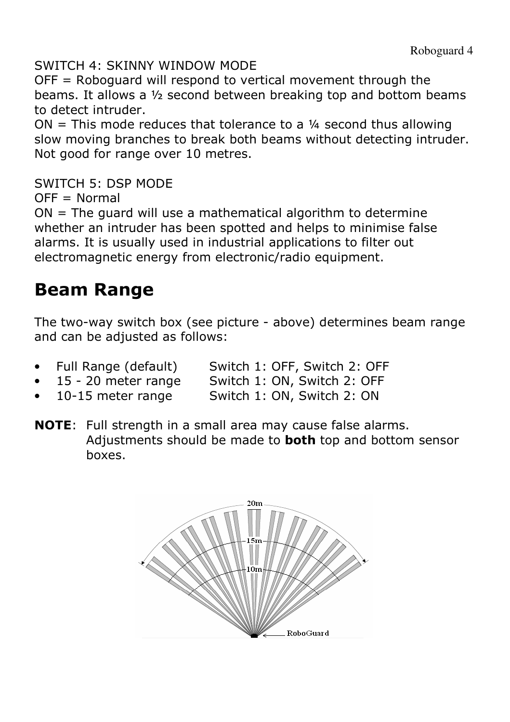SWITCH 4: SKINNY WINDOW MODE

OFF = Roboguard will respond to vertical movement through the beams. It allows a ½ second between breaking top and bottom beams to detect intruder.

 $ON = This mode reduces that tolerance to a ½ second thus allowing$ slow moving branches to break both beams without detecting intruder. Not good for range over 10 metres.

SWITCH 5: DSP MODE

 $OFF = Normal$ 

ON = The guard will use a mathematical algorithm to determine whether an intruder has been spotted and helps to minimise false alarms. It is usually used in industrial applications to filter out electromagnetic energy from electronic/radio equipment.

### Beam Range

The two-way switch box (see picture - above) determines beam range and can be adjusted as follows:

- Full Range (default) Switch 1: OFF, Switch 2: OFF
- 15 20 meter range Switch 1: ON, Switch 2: OFF
- 10-15 meter range Switch 1: ON, Switch 2: ON
- NOTE: Full strength in a small area may cause false alarms. Adjustments should be made to **both** top and bottom sensor boxes.

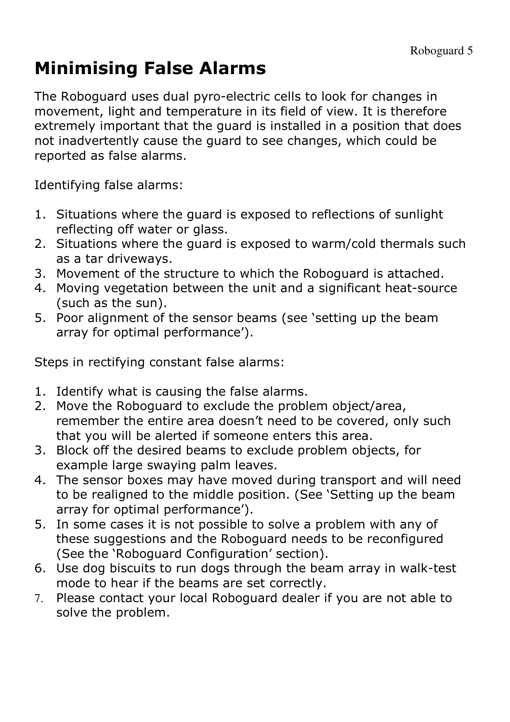## Minimising False Alarms

The Roboguard uses dual pyro-electric cells to look for changes in movement, light and temperature in its field of view. It is therefore extremely important that the guard is installed in a position that does not inadvertently cause the guard to see changes, which could be reported as false alarms.

Identifying false alarms:

- 1. Situations where the guard is exposed to reflections of sunlight reflecting off water or glass.
- 2. Situations where the guard is exposed to warm/cold thermals such as a tar driveways.
- 3. Movement of the structure to which the Roboguard is attached.
- 4. Moving vegetation between the unit and a significant heat-source (such as the sun).
- 5. Poor alignment of the sensor beams (see 'setting up the beam array for optimal performance').

Steps in rectifying constant false alarms:

- 1. Identify what is causing the false alarms.
- 2. Move the Roboguard to exclude the problem object/area, remember the entire area doesn't need to be covered, only such that you will be alerted if someone enters this area.
- 3. Block off the desired beams to exclude problem objects, for example large swaying palm leaves.
- 4. The sensor boxes may have moved during transport and will need to be realigned to the middle position. (See 'Setting up the beam array for optimal performance').
- 5. In some cases it is not possible to solve a problem with any of these suggestions and the Roboguard needs to be reconfigured (See the 'Roboguard Configuration' section).
- 6. Use dog biscuits to run dogs through the beam array in walk-test mode to hear if the beams are set correctly.
- 7. Please contact your local Roboguard dealer if you are not able to solve the problem.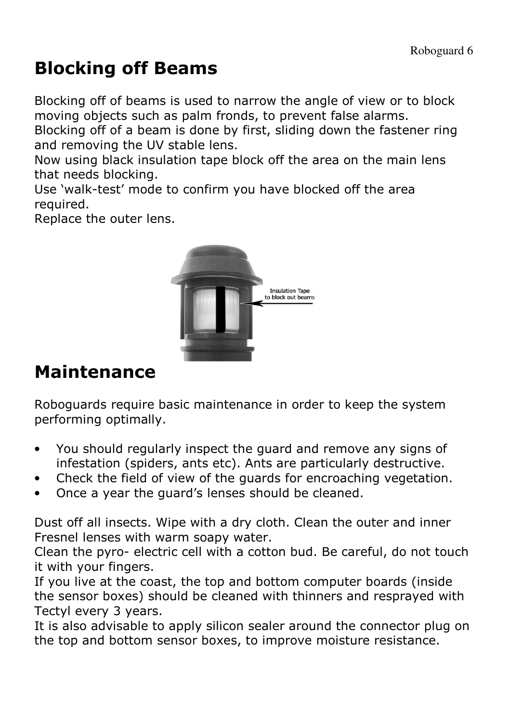### Blocking off Beams

Blocking off of beams is used to narrow the angle of view or to block moving objects such as palm fronds, to prevent false alarms.

Blocking off of a beam is done by first, sliding down the fastener ring and removing the UV stable lens.

Now using black insulation tape block off the area on the main lens that needs blocking.

Use 'walk-test' mode to confirm you have blocked off the area required.

Replace the outer lens.



### Maintenance

Roboguards require basic maintenance in order to keep the system performing optimally.

- You should regularly inspect the guard and remove any signs of infestation (spiders, ants etc). Ants are particularly destructive.
- Check the field of view of the guards for encroaching vegetation.
- Once a year the guard's lenses should be cleaned.

Dust off all insects. Wipe with a dry cloth. Clean the outer and inner Fresnel lenses with warm soapy water.

Clean the pyro- electric cell with a cotton bud. Be careful, do not touch it with your fingers.

If you live at the coast, the top and bottom computer boards (inside the sensor boxes) should be cleaned with thinners and resprayed with Tectyl every 3 years.

It is also advisable to apply silicon sealer around the connector plug on the top and bottom sensor boxes, to improve moisture resistance.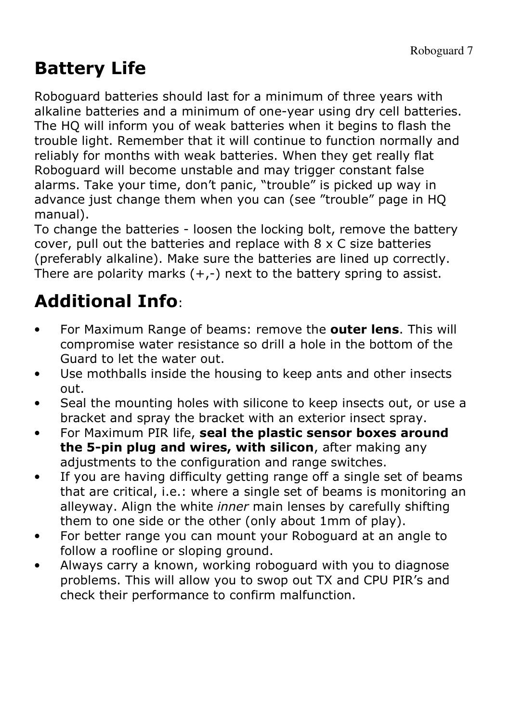## Battery Life

Roboguard batteries should last for a minimum of three years with alkaline batteries and a minimum of one-year using dry cell batteries. The HQ will inform you of weak batteries when it begins to flash the trouble light. Remember that it will continue to function normally and reliably for months with weak batteries. When they get really flat Roboguard will become unstable and may trigger constant false alarms. Take your time, don't panic, "trouble" is picked up way in advance just change them when you can (see "trouble" page in HQ manual).

To change the batteries - loosen the locking bolt, remove the battery cover, pull out the batteries and replace with 8 x C size batteries (preferably alkaline). Make sure the batteries are lined up correctly. There are polarity marks  $(+,-)$  next to the battery spring to assist.

# Additional Info:

- For Maximum Range of beams: remove the **outer lens**. This will compromise water resistance so drill a hole in the bottom of the Guard to let the water out.
- Use mothballs inside the housing to keep ants and other insects out.
- Seal the mounting holes with silicone to keep insects out, or use a bracket and spray the bracket with an exterior insect spray.
- For Maximum PIR life, seal the plastic sensor boxes around the 5-pin plug and wires, with silicon, after making any adjustments to the configuration and range switches.
- If you are having difficulty getting range off a single set of beams that are critical, i.e.: where a single set of beams is monitoring an alleyway. Align the white *inner* main lenses by carefully shifting them to one side or the other (only about 1mm of play).
- For better range you can mount your Roboguard at an angle to follow a roofline or sloping ground.
- Always carry a known, working roboguard with you to diagnose problems. This will allow you to swop out TX and CPU PIR's and check their performance to confirm malfunction.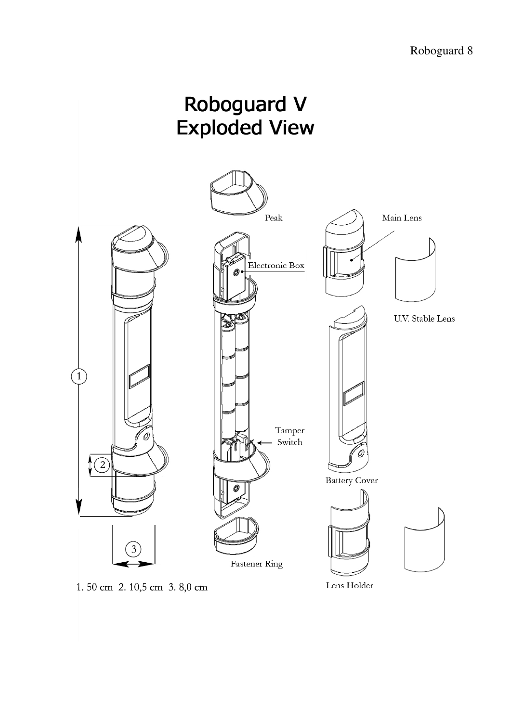



Lens Holder